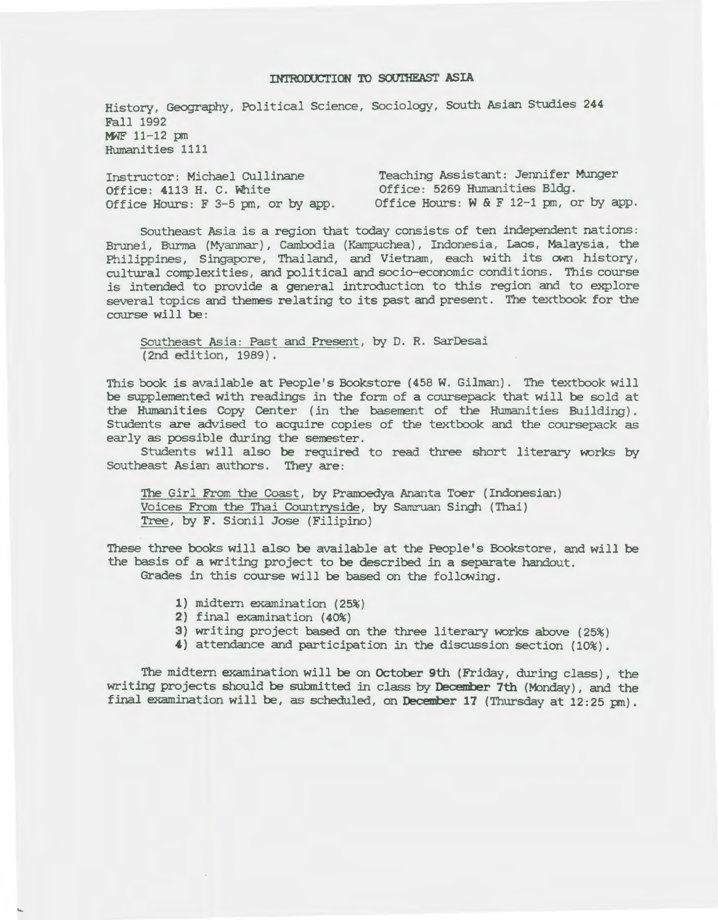# INTRODUCTION TO SOUTHEAST ASIA

History, Geography, *Political* Science, *Sociology,* South Asian Studies 244 Fall 1992 MWF 11-12 pm Humanities 1111

Instructor: *Michael Cullinane*  Office: 4113 H. C. White *Office* Hours: F 3-5 pm, or by app. Office Hours: W & F 12-1 pm, or by app. Teaching Assistant: Jennifer Munger Office: 5269 Humanities Bldg.

Southeast *Asia* is a region that today consists of ten independent nations: Brunei, Burma (Myanmar), Cambodia {Kampuchea), Indonesia, Laos, Malaysia, the Philippines, Singapore, Thailand, and *Vietnam,* each with its own history, cultural complexities, and *political* and socio-economic conditions. This course is intended to provide a general introduction to this region and to explore several topics and themes relating to its past and present. The textbook for the course *will* be :

Southeast Asia: Past and Present, by D. R. SarDesai (2nd edition, 1989).

This book is *available* at People's Bookstore (458 W. *Gilman).* The textbook *will*  be supplemented with readings in the form of a coursepack that will be sold at the Humanities Copy Center (in the basement of the Humanities Building) . Students are advised to acquire copies of the textbook and the coursepack as early as possible during the semester.

Students *will* also be required to read three short literary works by Southeast Asian authors. They are:

The *Girl* From the Coast, by Pramoedya Ananta Toer (Indonesian) Voices From the Thai Countryside, by Samruan Singh (Thai) Tree, by F. Sionil Jose (Filipino)

These three books *will also* be available at the People's Bookstore, and will be the basis of a writing project to be described in a separate handout. Grades in this course will be based on the following.

- 1) midtern examination (25%)
- 2) *final examination* {40%)
- 3} writing project based on the three literary works above (25%)
- 4) attendance and *participation in* the discussion section (10%).

The midtern examination *will* be on October 9th (Friday, during class), the writing projects should be submitted in class by December 7th (Monday), and the *final* examination *will* be, as scheduled, on December 17 (Thursday at 12:25 pm).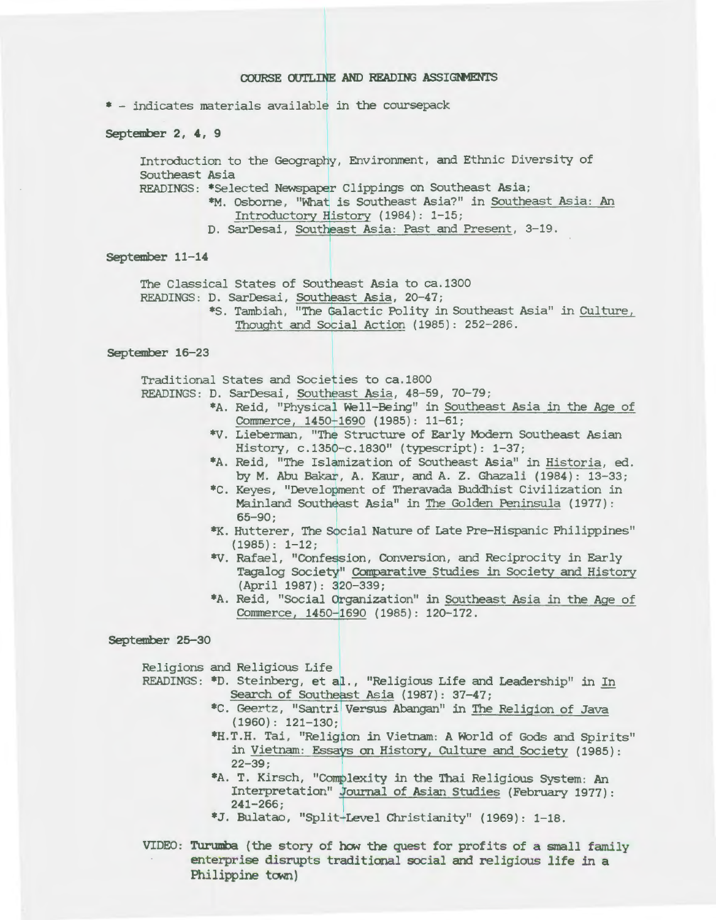### COURSE OUTLINE AND READING ASSIGNMENTS

\* - indicates materials available in the coursepack

September 2, 4, 9

Introduction to the Geography, Environment, and Ethnic Diversity of Southeast *Asia* 

READINGS: \*Selected Newspaper Clippings on Southeast *Asia;* 

\*M. Osborne, "What is Southeast *Asia?"* in Southeast Asia : An Introductory History (1984): 1-15;

D. SarDesai, Southeast Asia: Past and Present, 3-19.

### September 11-14

The Classical States of Southeast Asia to ca.1300

READINGS: D. SarDesai, Southeast Asia, 20-47;

\*S. Tambiah, "The Galactic Polity *in* Southeast *Asia"* in Culture, Thought and Social Action {1985): 252-286.

## September 16-23

Traditional States and Societies to ca.1800

READINGS : D. SarDesai, Southeast *Asia,* 48-59, 70-79;

- \*A. Reid, "Physical *Well-Being" in* Southeast *Asia in* the Age of Commerce, 1450-1690 (1985): 11-61;
- \*V. Lieberman, "The Structure of Early Modern Southeast Asian History, c.1350-c.1830" (typescript): 1-37;
- \*A . Reid, "The Islamization of Southeast Asia" in Historia, ed. by M. Abu Bakar, A. Kaur, and A. Z. *Ghazali* (1984): 13-33;
- \*C. Keyes, "Development of Theravada Buddhist *Civilization in*  Mainland Southeast Asia" in The Golden Peninsula ( 1977) : 65-90;
- \*K. Hutterer, The *Social* Nature of Late Pre-Hispanic Philippines"  $(1985): 1-12;$
- \*V. Rafael, "Confession, Conversion, and Reciprocity in Early Tagalog *Society"* Comparative Studies in *Society* and History (April 1987): 320-339;
- \*A. Reid, "Social Organization" *in* Southeast Asia *in* the Age of Commerce, 1450-1690 (1985): 120-172.

September 25-30

*Religions* and *Religious Life* 

- READINGS: \*D. Steinberg, et al., *"Religious Life* and Leadership" in In Search of Southeast Asia (1987): 37-47;
	- \*C. Geertz, "Santri Versus Abangan" in The *Religion* of Java (1960): 121-130;
	- \*H.T.H. *Tai,* "Religion in Vietnam: A World of Gods and Spirits" in Vietnam: Essays on History, CUlture and *Society* (1985): 22-39;
	- \*A. T. Kirsch, "Complexity *in* the *Thai Religious* System: An Interpretation" Journal of Asian Studies (February 1977): 241-266;
	- \*J. Bulatao, "Split-Level Christianity" (1969): 1-18.
- VIDEO: Turumba (the story of heM the quest for profits of a small family enterprise disrupts traditional *social* and religious life in a Philippine town)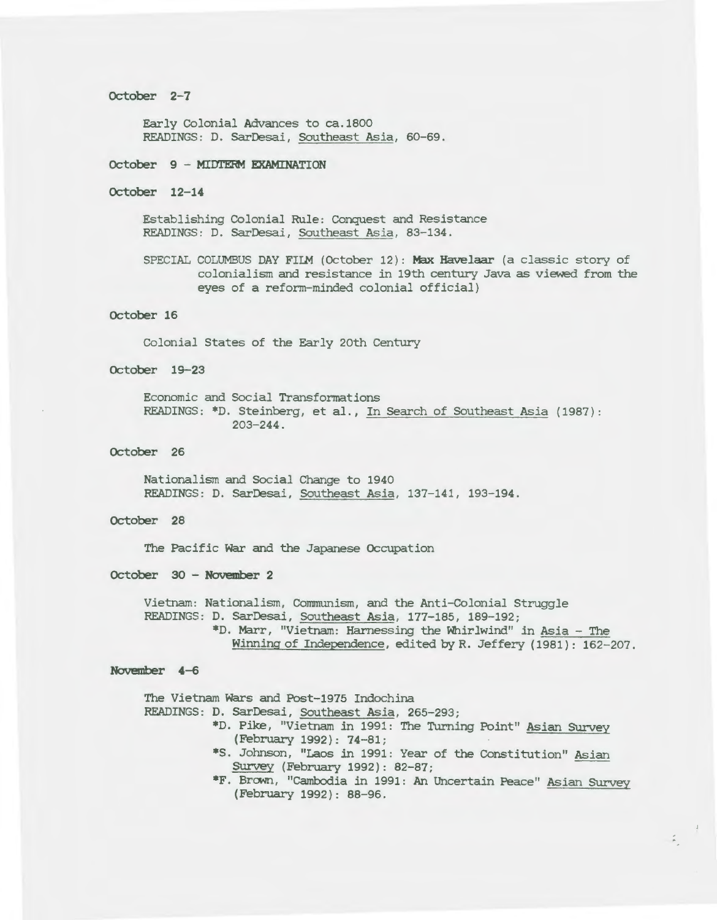### October 2-7

Early Colonial Advances to ca.1800 READINGS: D. SarDesai, Southeast *Asia,* 60-69.

## October 9 - Mim'ERM EXAMINATION

# October 12-14

Establishing Colonial Rule: Conquest and Resistance READINGS: D. SarDesai, Southeast *Asia,* 83-134.

SPECIAL COLUMBUS DAY FILM (October 12): Max Havelaar (a classic story of colonialism and resistance in 19th century Java as viewed from the eyes of a reform-minded colonial *official)* 

## October 16

Colonial States of the Early 20th Century

## October 19-23

Economic and *Social* Transformations READINGS: \*D. Steinberg, et *al.,* In Search of Southeast *Asia* (1987): 203-244.

### October 26

Nationalism and *Social* Change to 1940 READINGS: D. *SarDesai,* Southeast *Asia,* 137-141, 193-194.

# October 28

The *Pacific* War and the Japanese Occupation

### October 30 - November 2

Vietnam: *Nationalism, Communism,* and the Anti-Colonial Struggle READINGS: D. *SarDesai,* Southeast *Asia,* 177-185, 189-192; \*D. Marr, "Vietnam: Harnessing the Whirlwind" in *Asia* - The Winning of Independence, edited by R. Jeffery ( 1981) : 162-207.

#### November 4-6

The Vietnam Wars and Post-1975 Indochina READINGS: D. *SarDesai,* Southeast *Asia,* 265-293; \*D. Pike, "Vietnam in 1991: The Turning Point" Asian SUrvey (February 1992): 74-81; \*S. Johnson, "Laos in 1991: Year of the Constitution" Asian Survey (February 1992): 82-87; \*F. Brown, "Cambodia in 1991: An Uncertain Peace" Asian Survey (February 1992): 88-96.

 $\tilde{\mathbb{A}}_1$